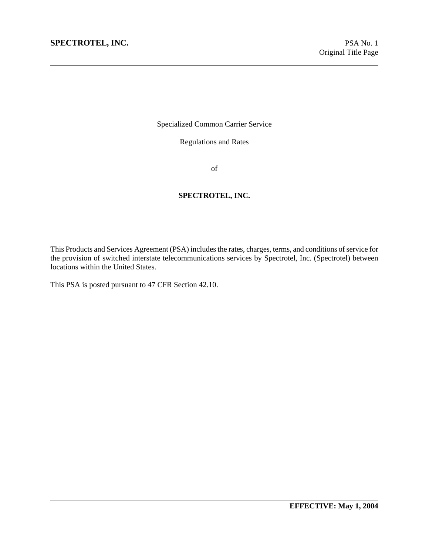Specialized Common Carrier Service

Regulations and Rates

of

#### **SPECTROTEL, INC.**

This Products and Services Agreement (PSA) includes the rates, charges, terms, and conditions of service for the provision of switched interstate telecommunications services by Spectrotel, Inc. (Spectrotel) between locations within the United States.

This PSA is posted pursuant to 47 CFR Section 42.10.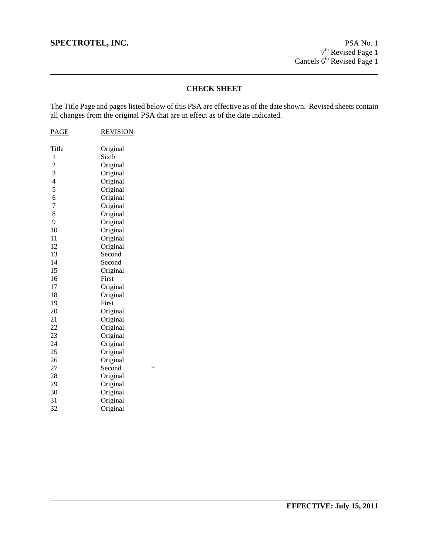## **CHECK SHEET**

The Title Page and pages listed below of this PSA are effective as of the date shown. Revised sheets contain all changes from the original PSA that are in effect as of the date indicated.

| <b>PAGE</b>                                     | <b>REVISION</b> |        |
|-------------------------------------------------|-----------------|--------|
| Title                                           | Original        |        |
| 1                                               | Sixth           |        |
|                                                 | Original        |        |
|                                                 | Original        |        |
|                                                 | Original        |        |
| $\begin{array}{c} 2 \\ 3 \\ 4 \\ 5 \end{array}$ | Original        |        |
| 6                                               | Original        |        |
| $\overline{7}$                                  | Original        |        |
| 8                                               | Original        |        |
| 9                                               | Original        |        |
| 10                                              | Original        |        |
| 11                                              | Original        |        |
| 12                                              | Original        |        |
| 13                                              | Second          |        |
| 14                                              | Second          |        |
| 15                                              | Original        |        |
| 16                                              | First           |        |
| 17                                              | Original        |        |
| 18                                              | Original        |        |
| 19                                              | First           |        |
| 20                                              | Original        |        |
| 21                                              | Original        |        |
| 22                                              | Original        |        |
| 23                                              | Original        |        |
| 24                                              | Original        |        |
| 25                                              | Original        |        |
| 26                                              | Original        |        |
| 27                                              | Second          | $\ast$ |
| 28                                              | Original        |        |
| 29                                              | Original        |        |
| 30                                              | Original        |        |
| 31                                              | Original        |        |
| 32                                              | Original        |        |
|                                                 |                 |        |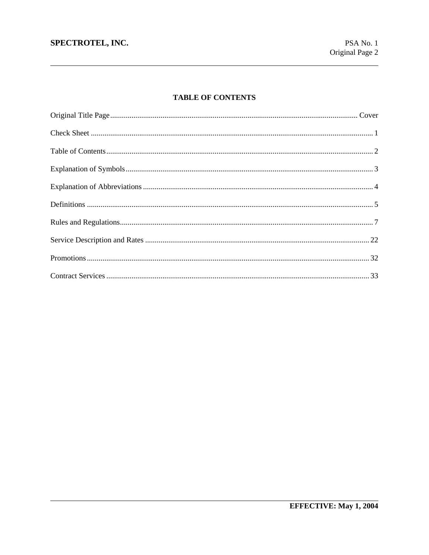# **TABLE OF CONTENTS**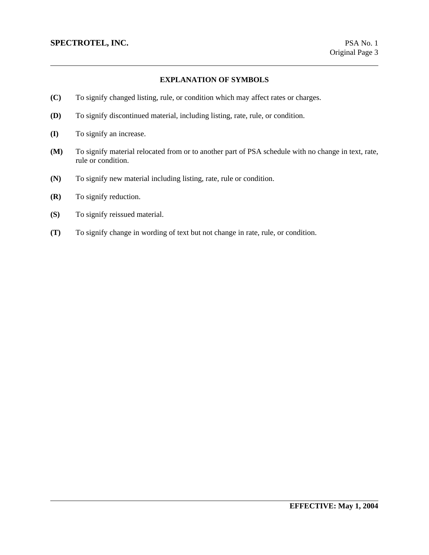### **EXPLANATION OF SYMBOLS**

- **(C)** To signify changed listing, rule, or condition which may affect rates or charges.
- **(D)** To signify discontinued material, including listing, rate, rule, or condition.
- **(I)** To signify an increase.
- **(M)** To signify material relocated from or to another part of PSA schedule with no change in text, rate, rule or condition.
- **(N)** To signify new material including listing, rate, rule or condition.
- **(R)** To signify reduction.
- **(S)** To signify reissued material.
- **(T)** To signify change in wording of text but not change in rate, rule, or condition.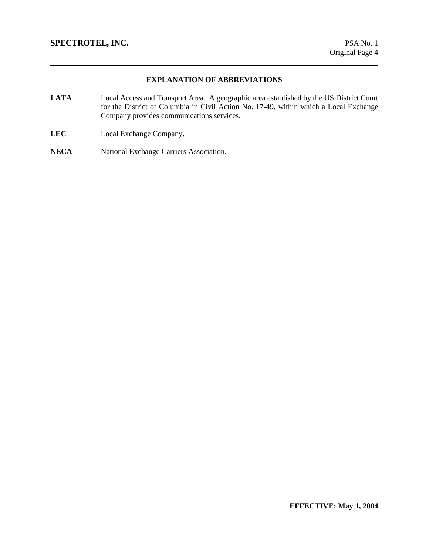## **EXPLANATION OF ABBREVIATIONS**

- **LATA** Local Access and Transport Area. A geographic area established by the US District Court for the District of Columbia in Civil Action No. 17-49, within which a Local Exchange Company provides communications services.
- **LEC** Local Exchange Company.
- **NECA** National Exchange Carriers Association.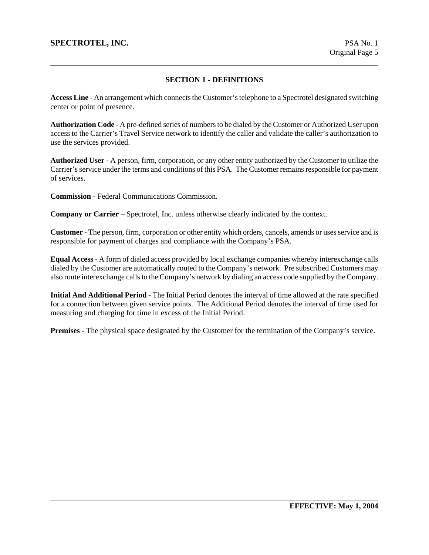### **SECTION 1 - DEFINITIONS**

**Access Line** - An arrangement which connects the Customer's telephone to a Spectrotel designated switching center or point of presence.

**Authorization Code** - A pre-defined series of numbers to be dialed by the Customer or Authorized User upon access to the Carrier's Travel Service network to identify the caller and validate the caller's authorization to use the services provided.

**Authorized User** - A person, firm, corporation, or any other entity authorized by the Customer to utilize the Carrier's service under the terms and conditions of this PSA. The Customer remains responsible for payment of services.

**Commission** - Federal Communications Commission.

**Company or Carrier** – Spectrotel, Inc. unless otherwise clearly indicated by the context.

**Customer** - The person, firm, corporation or other entity which orders, cancels, amends or uses service and is responsible for payment of charges and compliance with the Company's PSA.

**Equal Access** - A form of dialed access provided by local exchange companies whereby interexchange calls dialed by the Customer are automatically routed to the Company's network. Pre subscribed Customers may also route interexchange calls to the Company's network by dialing an access code supplied by the Company.

**Initial And Additional Period** - The Initial Period denotes the interval of time allowed at the rate specified for a connection between given service points. The Additional Period denotes the interval of time used for measuring and charging for time in excess of the Initial Period.

**Premises** - The physical space designated by the Customer for the termination of the Company's service.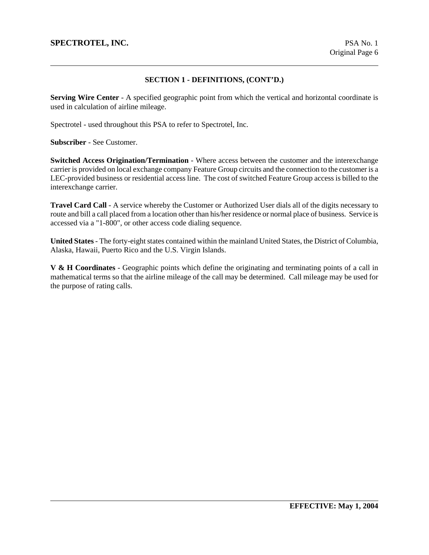### **SECTION 1 - DEFINITIONS, (CONT'D.)**

**Serving Wire Center** - A specified geographic point from which the vertical and horizontal coordinate is used in calculation of airline mileage.

Spectrotel - used throughout this PSA to refer to Spectrotel, Inc.

**Subscriber** - See Customer.

**Switched Access Origination/Termination** - Where access between the customer and the interexchange carrier is provided on local exchange company Feature Group circuits and the connection to the customer is a LEC-provided business or residential access line. The cost of switched Feature Group access is billed to the interexchange carrier.

**Travel Card Call** - A service whereby the Customer or Authorized User dials all of the digits necessary to route and bill a call placed from a location other than his/her residence or normal place of business. Service is accessed via a "1-800", or other access code dialing sequence.

**United States** - The forty-eight states contained within the mainland United States, the District of Columbia, Alaska, Hawaii, Puerto Rico and the U.S. Virgin Islands.

**V & H Coordinates** - Geographic points which define the originating and terminating points of a call in mathematical terms so that the airline mileage of the call may be determined. Call mileage may be used for the purpose of rating calls.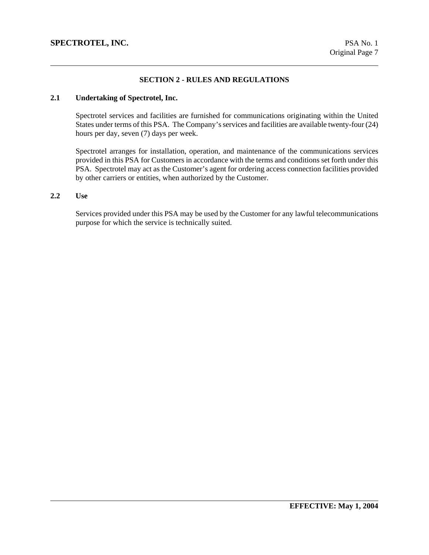### **SECTION 2 - RULES AND REGULATIONS**

## **2.1 Undertaking of Spectrotel, Inc.**

Spectrotel services and facilities are furnished for communications originating within the United States under terms of this PSA. The Company's services and facilities are available twenty-four (24) hours per day, seven (7) days per week.

Spectrotel arranges for installation, operation, and maintenance of the communications services provided in this PSA for Customers in accordance with the terms and conditions set forth under this PSA. Spectrotel may act as the Customer's agent for ordering access connection facilities provided by other carriers or entities, when authorized by the Customer.

#### **2.2 Use**

Services provided under this PSA may be used by the Customer for any lawful telecommunications purpose for which the service is technically suited.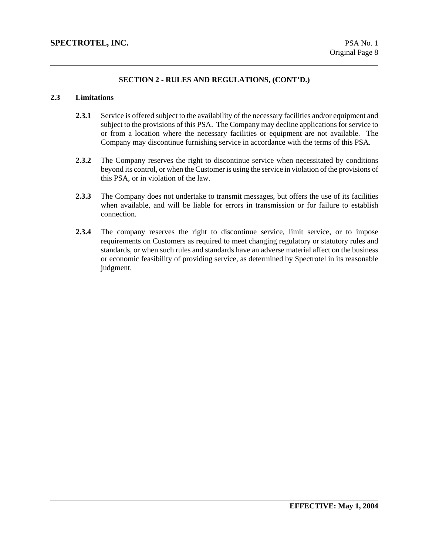## **2.3 Limitations**

- **2.3.1** Service is offered subject to the availability of the necessary facilities and/or equipment and subject to the provisions of this PSA. The Company may decline applications for service to or from a location where the necessary facilities or equipment are not available. The Company may discontinue furnishing service in accordance with the terms of this PSA.
- **2.3.2** The Company reserves the right to discontinue service when necessitated by conditions beyond its control, or when the Customer is using the service in violation of the provisions of this PSA, or in violation of the law.
- **2.3.3** The Company does not undertake to transmit messages, but offers the use of its facilities when available, and will be liable for errors in transmission or for failure to establish connection.
- **2.3.4** The company reserves the right to discontinue service, limit service, or to impose requirements on Customers as required to meet changing regulatory or statutory rules and standards, or when such rules and standards have an adverse material affect on the business or economic feasibility of providing service, as determined by Spectrotel in its reasonable judgment.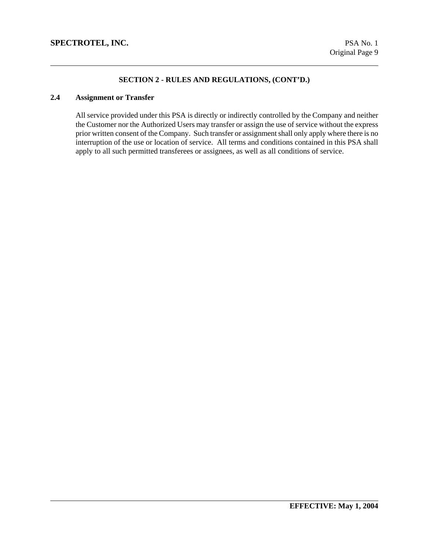# **2.4 Assignment or Transfer**

All service provided under this PSA is directly or indirectly controlled by the Company and neither the Customer nor the Authorized Users may transfer or assign the use of service without the express prior written consent of the Company. Such transfer or assignment shall only apply where there is no interruption of the use or location of service. All terms and conditions contained in this PSA shall apply to all such permitted transferees or assignees, as well as all conditions of service.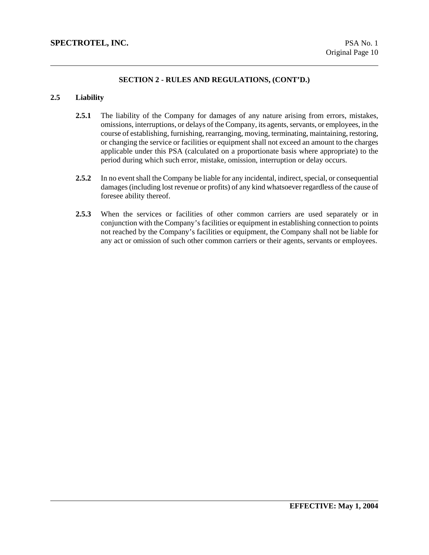# **2.5 Liability**

- 2.5.1 The liability of the Company for damages of any nature arising from errors, mistakes, omissions, interruptions, or delays of the Company, its agents, servants, or employees, in the course of establishing, furnishing, rearranging, moving, terminating, maintaining, restoring, or changing the service or facilities or equipment shall not exceed an amount to the charges applicable under this PSA (calculated on a proportionate basis where appropriate) to the period during which such error, mistake, omission, interruption or delay occurs.
- **2.5.2** In no event shall the Company be liable for any incidental, indirect, special, or consequential damages (including lost revenue or profits) of any kind whatsoever regardless of the cause of foresee ability thereof.
- **2.5.3** When the services or facilities of other common carriers are used separately or in conjunction with the Company's facilities or equipment in establishing connection to points not reached by the Company's facilities or equipment, the Company shall not be liable for any act or omission of such other common carriers or their agents, servants or employees.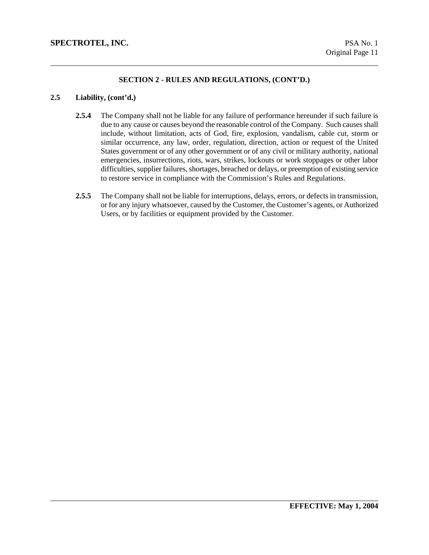## **2.5 Liability, (cont'd.)**

- **2.5.4** The Company shall not be liable for any failure of performance hereunder if such failure is due to any cause or causes beyond the reasonable control of the Company. Such causes shall include, without limitation, acts of God, fire, explosion, vandalism, cable cut, storm or similar occurrence, any law, order, regulation, direction, action or request of the United States government or of any other government or of any civil or military authority, national emergencies, insurrections, riots, wars, strikes, lockouts or work stoppages or other labor difficulties, supplier failures, shortages, breached or delays, or preemption of existing service to restore service in compliance with the Commission's Rules and Regulations.
- **2.5.5** The Company shall not be liable for interruptions, delays, errors, or defects in transmission, or for any injury whatsoever, caused by the Customer, the Customer's agents, or Authorized Users, or by facilities or equipment provided by the Customer.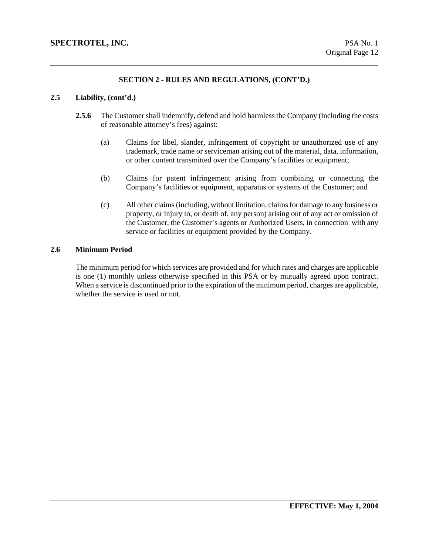#### **2.5 Liability, (cont'd.)**

- **2.5.6** The Customer shall indemnify, defend and hold harmless the Company (including the costs of reasonable attorney's fees) against:
	- (a) Claims for libel, slander, infringement of copyright or unauthorized use of any trademark, trade name or serviceman arising out of the material, data, information, or other content transmitted over the Company's facilities or equipment;
	- (b) Claims for patent infringement arising from combining or connecting the Company's facilities or equipment, apparatus or systems of the Customer; and
	- (c) All other claims (including, without limitation, claims for damage to any business or property, or injury to, or death of, any person) arising out of any act or omission of the Customer, the Customer's agents or Authorized Users, in connection with any service or facilities or equipment provided by the Company.

#### **2.6 Minimum Period**

The minimum period for which services are provided and for which rates and charges are applicable is one (1) monthly unless otherwise specified in this PSA or by mutually agreed upon contract. When a service is discontinued prior to the expiration of the minimum period, charges are applicable, whether the service is used or not.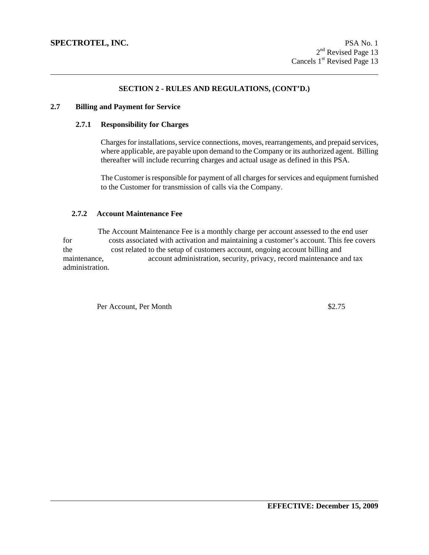#### **2.7 Billing and Payment for Service**

#### **2.7.1 Responsibility for Charges**

Charges for installations, service connections, moves, rearrangements, and prepaid services, where applicable, are payable upon demand to the Company or its authorized agent. Billing thereafter will include recurring charges and actual usage as defined in this PSA.

The Customer is responsible for payment of all charges for services and equipment furnished to the Customer for transmission of calls via the Company.

### **2.7.2 Account Maintenance Fee**

 The Account Maintenance Fee is a monthly charge per account assessed to the end user for costs associated with activation and maintaining a customer's account. This fee covers the cost related to the setup of customers account, ongoing account billing and maintenance, account administration, security, privacy, record maintenance and tax administration.

Per Account, Per Month  $$2.75$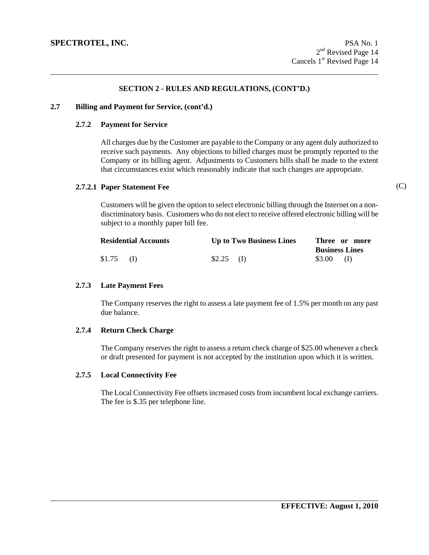#### **2.7 Billing and Payment for Service, (cont'd.)**

#### **2.7.2 Payment for Service**

All charges due by the Customer are payable to the Company or any agent duly authorized to receive such payments. Any objections to billed charges must be promptly reported to the Company or its billing agent. Adjustments to Customers bills shall be made to the extent that circumstances exist which reasonably indicate that such changes are appropriate.

#### **2.7.2.1 Paper Statement Fee**

Customers will be given the option to select electronic billing through the Internet on a nondiscriminatory basis. Customers who do not elect to receive offered electronic billing will be subject to a monthly paper bill fee.

|        | <b>Residential Accounts</b> |             | <b>Up to Two Business Lines</b> |                       | Three or more |
|--------|-----------------------------|-------------|---------------------------------|-----------------------|---------------|
|        |                             |             |                                 | <b>Business Lines</b> |               |
| \$1.75 | (D)                         | $$2.25$ (I) |                                 | $$3.00$ (I)           |               |

### **2.7.3 Late Payment Fees**

The Company reserves the right to assess a late payment fee of 1.5% per month on any past due balance.

#### **2.7.4 Return Check Charge**

The Company reserves the right to assess a return check charge of \$25.00 whenever a check or draft presented for payment is not accepted by the institution upon which it is written.

### **2.7.5 Local Connectivity Fee**

The Local Connectivity Fee offsets increased costs from incumbent local exchange carriers. The fee is \$.35 per telephone line.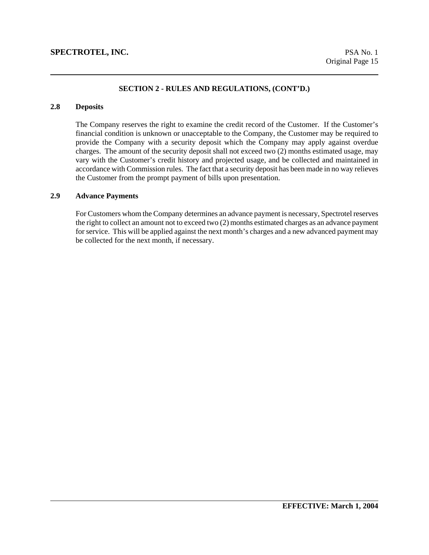### **2.8 Deposits**

The Company reserves the right to examine the credit record of the Customer. If the Customer's financial condition is unknown or unacceptable to the Company, the Customer may be required to provide the Company with a security deposit which the Company may apply against overdue charges. The amount of the security deposit shall not exceed two (2) months estimated usage, may vary with the Customer's credit history and projected usage, and be collected and maintained in accordance with Commission rules. The fact that a security deposit has been made in no way relieves the Customer from the prompt payment of bills upon presentation.

### **2.9 Advance Payments**

For Customers whom the Company determines an advance payment is necessary, Spectrotel reserves the right to collect an amount not to exceed two (2) months estimated charges as an advance payment for service. This will be applied against the next month's charges and a new advanced payment may be collected for the next month, if necessary.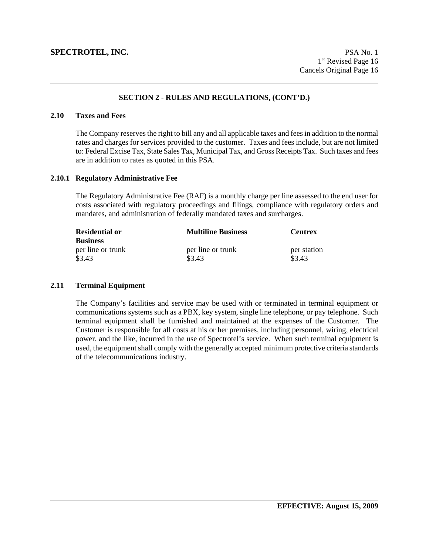#### **2.10 Taxes and Fees**

The Company reserves the right to bill any and all applicable taxes and fees in addition to the normal rates and charges for services provided to the customer. Taxes and fees include, but are not limited to: Federal Excise Tax, State Sales Tax, Municipal Tax, and Gross Receipts Tax. Such taxes and fees are in addition to rates as quoted in this PSA.

#### **2.10.1 Regulatory Administrative Fee**

The Regulatory Administrative Fee (RAF) is a monthly charge per line assessed to the end user for costs associated with regulatory proceedings and filings, compliance with regulatory orders and mandates, and administration of federally mandated taxes and surcharges.

| <b>Residential or</b><br><b>Business</b> | <b>Multiline Business</b> | <b>Centrex</b> |
|------------------------------------------|---------------------------|----------------|
| per line or trunk                        | per line or trunk         | per station    |
| \$3.43                                   | \$3.43                    | \$3.43         |

## **2.11 Terminal Equipment**

The Company's facilities and service may be used with or terminated in terminal equipment or communications systems such as a PBX, key system, single line telephone, or pay telephone. Such terminal equipment shall be furnished and maintained at the expenses of the Customer. The Customer is responsible for all costs at his or her premises, including personnel, wiring, electrical power, and the like, incurred in the use of Spectrotel's service. When such terminal equipment is used, the equipment shall comply with the generally accepted minimum protective criteria standards of the telecommunications industry.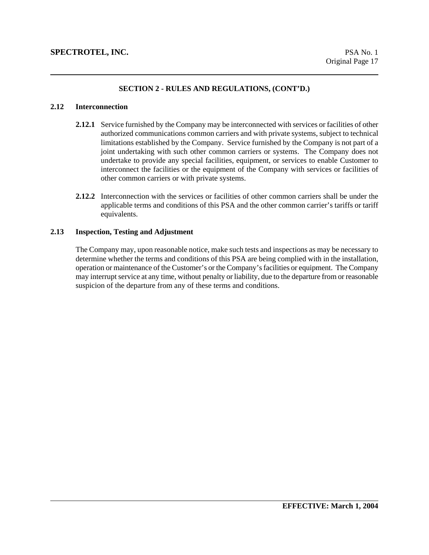### **2.12 Interconnection**

- **2.12.1** Service furnished by the Company may be interconnected with services or facilities of other authorized communications common carriers and with private systems, subject to technical limitations established by the Company. Service furnished by the Company is not part of a joint undertaking with such other common carriers or systems. The Company does not undertake to provide any special facilities, equipment, or services to enable Customer to interconnect the facilities or the equipment of the Company with services or facilities of other common carriers or with private systems.
- **2.12.2** Interconnection with the services or facilities of other common carriers shall be under the applicable terms and conditions of this PSA and the other common carrier's tariffs or tariff equivalents.

#### **2.13 Inspection, Testing and Adjustment**

The Company may, upon reasonable notice, make such tests and inspections as may be necessary to determine whether the terms and conditions of this PSA are being complied with in the installation, operation or maintenance of the Customer's or the Company's facilities or equipment. The Company may interrupt service at any time, without penalty or liability, due to the departure from or reasonable suspicion of the departure from any of these terms and conditions.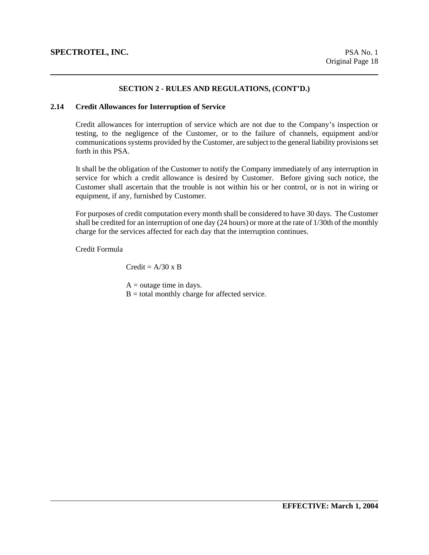#### **2.14 Credit Allowances for Interruption of Service**

Credit allowances for interruption of service which are not due to the Company's inspection or testing, to the negligence of the Customer, or to the failure of channels, equipment and/or communications systems provided by the Customer, are subject to the general liability provisions set forth in this PSA.

It shall be the obligation of the Customer to notify the Company immediately of any interruption in service for which a credit allowance is desired by Customer. Before giving such notice, the Customer shall ascertain that the trouble is not within his or her control, or is not in wiring or equipment, if any, furnished by Customer.

For purposes of credit computation every month shall be considered to have 30 days. The Customer shall be credited for an interruption of one day (24 hours) or more at the rate of 1/30th of the monthly charge for the services affected for each day that the interruption continues.

Credit Formula

 $Credit = A/30$  x B

 $A =$  outage time in days.

 $B =$  total monthly charge for affected service.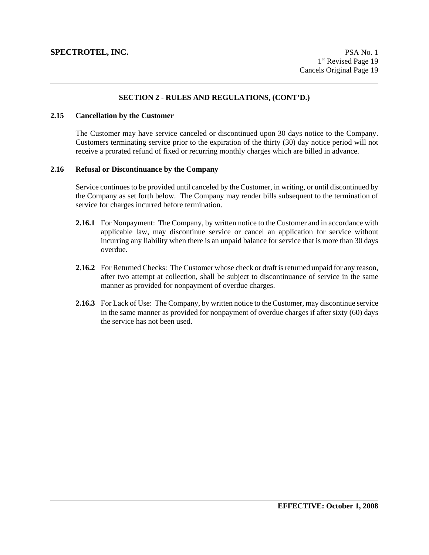### **2.15 Cancellation by the Customer**

The Customer may have service canceled or discontinued upon 30 days notice to the Company. Customers terminating service prior to the expiration of the thirty (30) day notice period will not receive a prorated refund of fixed or recurring monthly charges which are billed in advance.

### **2.16 Refusal or Discontinuance by the Company**

Service continues to be provided until canceled by the Customer, in writing, or until discontinued by the Company as set forth below. The Company may render bills subsequent to the termination of service for charges incurred before termination.

- **2.16.1** For Nonpayment: The Company, by written notice to the Customer and in accordance with applicable law, may discontinue service or cancel an application for service without incurring any liability when there is an unpaid balance for service that is more than 30 days overdue.
- **2.16.2** For Returned Checks: The Customer whose check or draft is returned unpaid for any reason, after two attempt at collection, shall be subject to discontinuance of service in the same manner as provided for nonpayment of overdue charges.
- **2.16.3** For Lack of Use: The Company, by written notice to the Customer, may discontinue service in the same manner as provided for nonpayment of overdue charges if after sixty (60) days the service has not been used.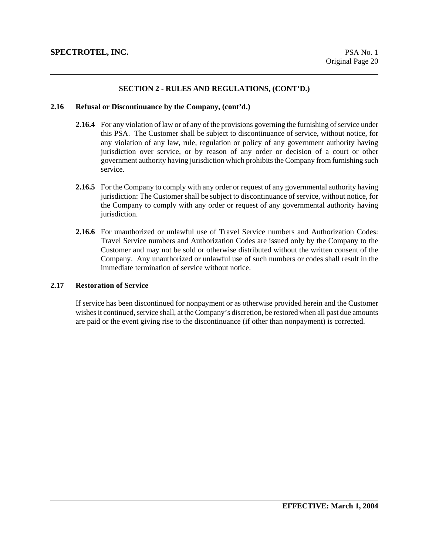#### **2.16 Refusal or Discontinuance by the Company, (cont'd.)**

- **2.16.4** For any violation of law or of any of the provisions governing the furnishing of service under this PSA. The Customer shall be subject to discontinuance of service, without notice, for any violation of any law, rule, regulation or policy of any government authority having jurisdiction over service, or by reason of any order or decision of a court or other government authority having jurisdiction which prohibits the Company from furnishing such service.
- **2.16.5** For the Company to comply with any order or request of any governmental authority having jurisdiction: The Customer shall be subject to discontinuance of service, without notice, for the Company to comply with any order or request of any governmental authority having jurisdiction.
- **2.16.6** For unauthorized or unlawful use of Travel Service numbers and Authorization Codes: Travel Service numbers and Authorization Codes are issued only by the Company to the Customer and may not be sold or otherwise distributed without the written consent of the Company. Any unauthorized or unlawful use of such numbers or codes shall result in the immediate termination of service without notice.

### **2.17 Restoration of Service**

If service has been discontinued for nonpayment or as otherwise provided herein and the Customer wishes it continued, service shall, at the Company's discretion, be restored when all past due amounts are paid or the event giving rise to the discontinuance (if other than nonpayment) is corrected.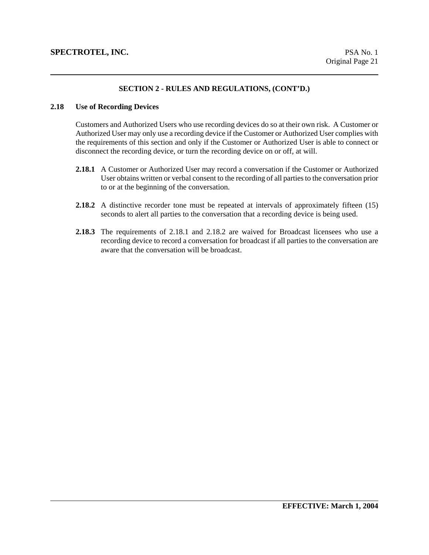#### **2.18 Use of Recording Devices**

Customers and Authorized Users who use recording devices do so at their own risk. A Customer or Authorized User may only use a recording device if the Customer or Authorized User complies with the requirements of this section and only if the Customer or Authorized User is able to connect or disconnect the recording device, or turn the recording device on or off, at will.

- **2.18.1** A Customer or Authorized User may record a conversation if the Customer or Authorized User obtains written or verbal consent to the recording of all parties to the conversation prior to or at the beginning of the conversation.
- **2.18.2** A distinctive recorder tone must be repeated at intervals of approximately fifteen (15) seconds to alert all parties to the conversation that a recording device is being used.
- **2.18.3** The requirements of 2.18.1 and 2.18.2 are waived for Broadcast licensees who use a recording device to record a conversation for broadcast if all parties to the conversation are aware that the conversation will be broadcast.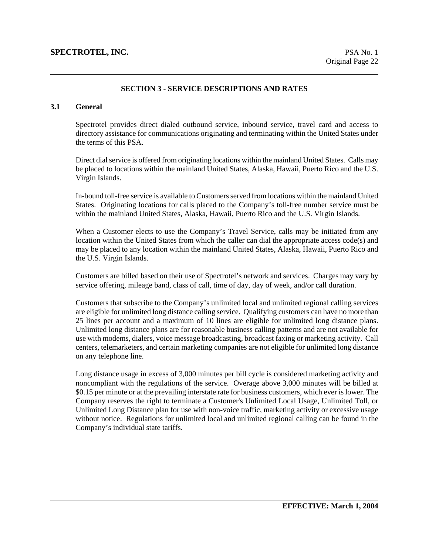### **SECTION 3 - SERVICE DESCRIPTIONS AND RATES**

## **3.1 General**

Spectrotel provides direct dialed outbound service, inbound service, travel card and access to directory assistance for communications originating and terminating within the United States under the terms of this PSA.

Direct dial service is offered from originating locations within the mainland United States. Calls may be placed to locations within the mainland United States, Alaska, Hawaii, Puerto Rico and the U.S. Virgin Islands.

In-bound toll-free service is available to Customers served from locations within the mainland United States. Originating locations for calls placed to the Company's toll-free number service must be within the mainland United States, Alaska, Hawaii, Puerto Rico and the U.S. Virgin Islands.

When a Customer elects to use the Company's Travel Service, calls may be initiated from any location within the United States from which the caller can dial the appropriate access code(s) and may be placed to any location within the mainland United States, Alaska, Hawaii, Puerto Rico and the U.S. Virgin Islands.

Customers are billed based on their use of Spectrotel's network and services. Charges may vary by service offering, mileage band, class of call, time of day, day of week, and/or call duration.

Customers that subscribe to the Company's unlimited local and unlimited regional calling services are eligible for unlimited long distance calling service. Qualifying customers can have no more than 25 lines per account and a maximum of 10 lines are eligible for unlimited long distance plans. Unlimited long distance plans are for reasonable business calling patterns and are not available for use with modems, dialers, voice message broadcasting, broadcast faxing or marketing activity. Call centers, telemarketers, and certain marketing companies are not eligible for unlimited long distance on any telephone line.

Long distance usage in excess of 3,000 minutes per bill cycle is considered marketing activity and noncompliant with the regulations of the service. Overage above 3,000 minutes will be billed at \$0.15 per minute or at the prevailing interstate rate for business customers, which ever is lower. The Company reserves the right to terminate a Customer's Unlimited Local Usage, Unlimited Toll, or Unlimited Long Distance plan for use with non-voice traffic, marketing activity or excessive usage without notice. Regulations for unlimited local and unlimited regional calling can be found in the Company's individual state tariffs.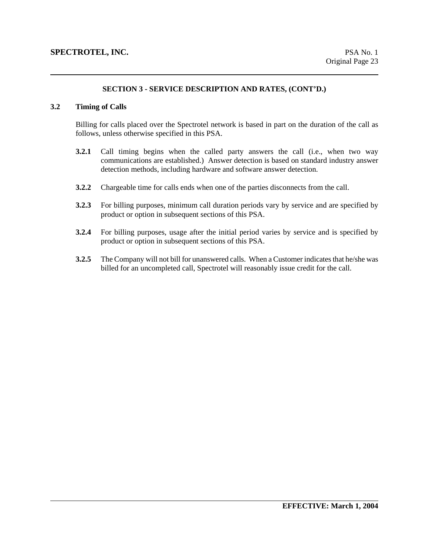### **3.2 Timing of Calls**

Billing for calls placed over the Spectrotel network is based in part on the duration of the call as follows, unless otherwise specified in this PSA.

- **3.2.1** Call timing begins when the called party answers the call (i.e., when two way communications are established.) Answer detection is based on standard industry answer detection methods, including hardware and software answer detection.
- **3.2.2** Chargeable time for calls ends when one of the parties disconnects from the call.
- **3.2.3** For billing purposes, minimum call duration periods vary by service and are specified by product or option in subsequent sections of this PSA.
- **3.2.4** For billing purposes, usage after the initial period varies by service and is specified by product or option in subsequent sections of this PSA.
- **3.2.5** The Company will not bill for unanswered calls. When a Customer indicates that he/she was billed for an uncompleted call, Spectrotel will reasonably issue credit for the call.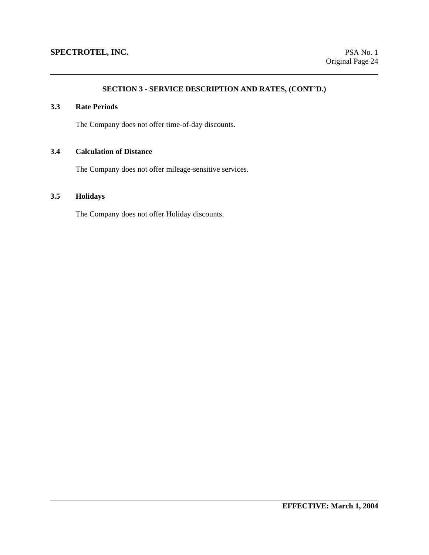## **3.3 Rate Periods**

The Company does not offer time-of-day discounts.

# **3.4 Calculation of Distance**

The Company does not offer mileage-sensitive services.

# **3.5 Holidays**

The Company does not offer Holiday discounts.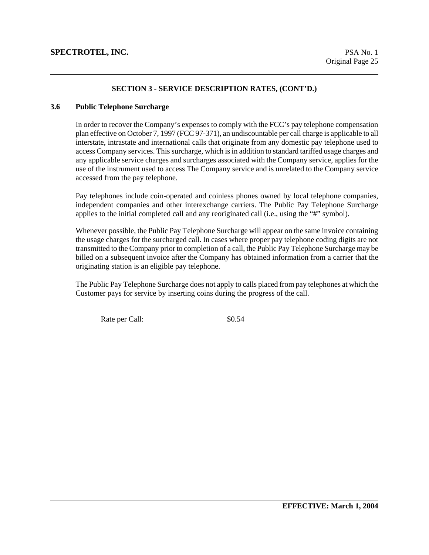#### **3.6 Public Telephone Surcharge**

In order to recover the Company's expenses to comply with the FCC's pay telephone compensation plan effective on October 7, 1997 (FCC 97-371), an undiscountable per call charge is applicable to all interstate, intrastate and international calls that originate from any domestic pay telephone used to access Company services. This surcharge, which is in addition to standard tariffed usage charges and any applicable service charges and surcharges associated with the Company service, applies for the use of the instrument used to access The Company service and is unrelated to the Company service accessed from the pay telephone.

Pay telephones include coin-operated and coinless phones owned by local telephone companies, independent companies and other interexchange carriers. The Public Pay Telephone Surcharge applies to the initial completed call and any reoriginated call (i.e., using the "#" symbol).

Whenever possible, the Public Pay Telephone Surcharge will appear on the same invoice containing the usage charges for the surcharged call. In cases where proper pay telephone coding digits are not transmitted to the Company prior to completion of a call, the Public Pay Telephone Surcharge may be billed on a subsequent invoice after the Company has obtained information from a carrier that the originating station is an eligible pay telephone.

The Public Pay Telephone Surcharge does not apply to calls placed from pay telephones at which the Customer pays for service by inserting coins during the progress of the call.

Rate per Call:  $$0.54$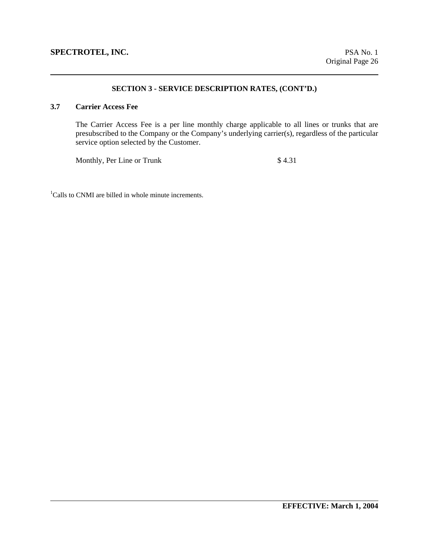### **3.7 Carrier Access Fee**

The Carrier Access Fee is a per line monthly charge applicable to all lines or trunks that are presubscribed to the Company or the Company's underlying carrier(s), regardless of the particular service option selected by the Customer.

Monthly, Per Line or Trunk  $$4.31$ 

<sup>1</sup>Calls to CNMI are billed in whole minute increments.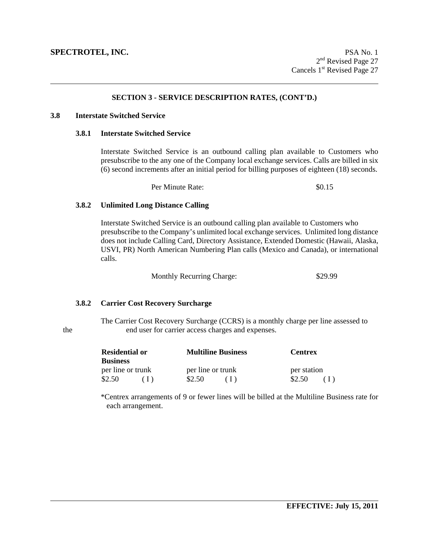#### **3.8 Interstate Switched Service**

#### **3.8.1 Interstate Switched Service**

Interstate Switched Service is an outbound calling plan available to Customers who presubscribe to the any one of the Company local exchange services. Calls are billed in six (6) second increments after an initial period for billing purposes of eighteen (18) seconds.

Per Minute Rate:  $\frac{$0.15}{2}$ 

#### **3.8.2 Unlimited Long Distance Calling**

 Interstate Switched Service is an outbound calling plan available to Customers who presubscribe to the Company's unlimited local exchange services. Unlimited long distance does not include Calling Card, Directory Assistance, Extended Domestic (Hawaii, Alaska, USVI, PR) North American Numbering Plan calls (Mexico and Canada), or international calls.

Monthly Recurring Charge: \$29.99

### **3.8.2 Carrier Cost Recovery Surcharge**

 The Carrier Cost Recovery Surcharge (CCRS) is a monthly charge per line assessed to the end user for carrier access charges and expenses.

| <b>Residential or</b> | <b>Multiline Business</b> | <b>Centrex</b> |  |
|-----------------------|---------------------------|----------------|--|
| <b>Business</b>       |                           |                |  |
| per line or trunk     | per line or trunk         | per station    |  |
| \$2.50                | \$2.50                    | \$2.50         |  |

 \*Centrex arrangements of 9 or fewer lines will be billed at the Multiline Business rate for each arrangement.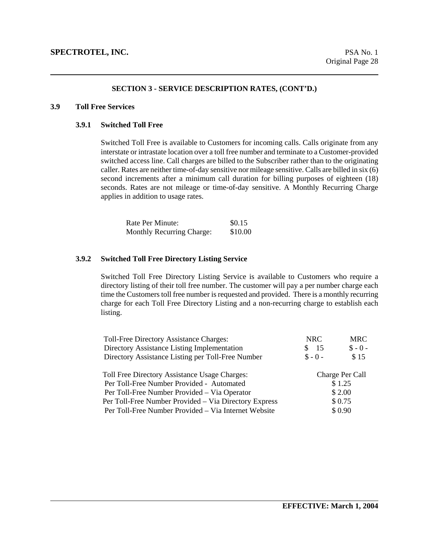#### **3.9 Toll Free Services**

#### **3.9.1 Switched Toll Free**

Switched Toll Free is available to Customers for incoming calls. Calls originate from any interstate or intrastate location over a toll free number and terminate to a Customer-provided switched access line. Call charges are billed to the Subscriber rather than to the originating caller. Rates are neither time-of-day sensitive nor mileage sensitive. Calls are billed in six (6) second increments after a minimum call duration for billing purposes of eighteen (18) seconds. Rates are not mileage or time-of-day sensitive. A Monthly Recurring Charge applies in addition to usage rates.

| Rate Per Minute:                 | \$0.15  |  |
|----------------------------------|---------|--|
| <b>Monthly Recurring Charge:</b> | \$10.00 |  |

#### **3.9.2 Switched Toll Free Directory Listing Service**

Switched Toll Free Directory Listing Service is available to Customers who require a directory listing of their toll free number. The customer will pay a per number charge each time the Customers toll free number is requested and provided. There is a monthly recurring charge for each Toll Free Directory Listing and a non-recurring charge to establish each listing.

| Toll-Free Directory Assistance Charges:               | NRC       | <b>MRC</b>      |
|-------------------------------------------------------|-----------|-----------------|
| Directory Assistance Listing Implementation           | -15<br>S. | $$ -0 -$        |
| Directory Assistance Listing per Toll-Free Number     | $S - 0 -$ | \$15            |
| Toll Free Directory Assistance Usage Charges:         |           | Charge Per Call |
| Per Toll-Free Number Provided - Automated             |           | \$1.25          |
| Per Toll-Free Number Provided - Via Operator          | \$ 2.00   |                 |
| Per Toll-Free Number Provided - Via Directory Express |           | \$0.75          |
| Per Toll-Free Number Provided - Via Internet Website  |           | \$0.90          |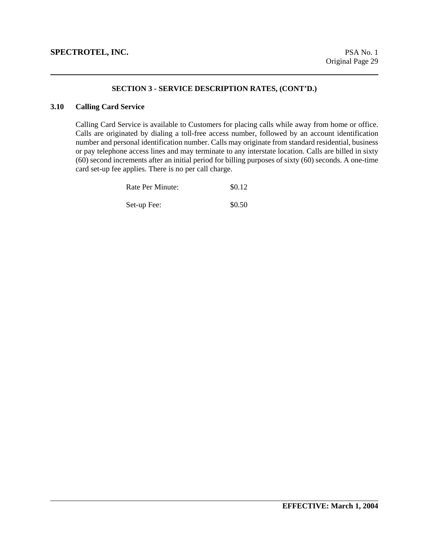### **3.10 Calling Card Service**

Calling Card Service is available to Customers for placing calls while away from home or office. Calls are originated by dialing a toll-free access number, followed by an account identification number and personal identification number. Calls may originate from standard residential, business or pay telephone access lines and may terminate to any interstate location. Calls are billed in sixty (60) second increments after an initial period for billing purposes of sixty (60) seconds. A one-time card set-up fee applies. There is no per call charge.

| Rate Per Minute: | \$0.12 |
|------------------|--------|
| Set-up Fee:      | \$0.50 |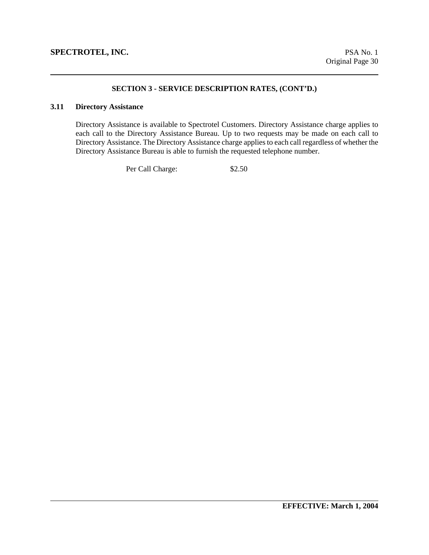### **3.11 Directory Assistance**

Directory Assistance is available to Spectrotel Customers. Directory Assistance charge applies to each call to the Directory Assistance Bureau. Up to two requests may be made on each call to Directory Assistance. The Directory Assistance charge applies to each call regardless of whether the Directory Assistance Bureau is able to furnish the requested telephone number.

Per Call Charge: \$2.50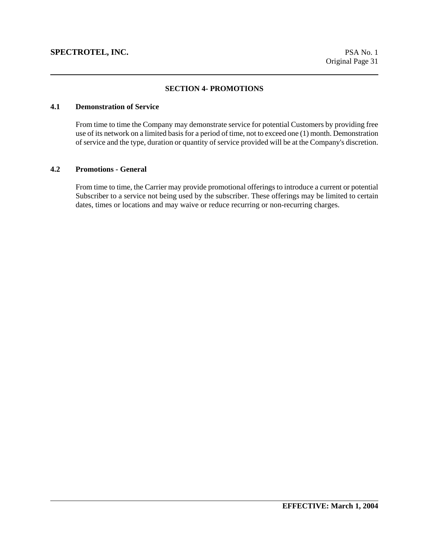## **SECTION 4- PROMOTIONS**

## **4.1 Demonstration of Service**

From time to time the Company may demonstrate service for potential Customers by providing free use of its network on a limited basis for a period of time, not to exceed one (1) month. Demonstration of service and the type, duration or quantity of service provided will be at the Company's discretion.

#### **4.2 Promotions - General**

From time to time, the Carrier may provide promotional offerings to introduce a current or potential Subscriber to a service not being used by the subscriber. These offerings may be limited to certain dates, times or locations and may waive or reduce recurring or non-recurring charges.